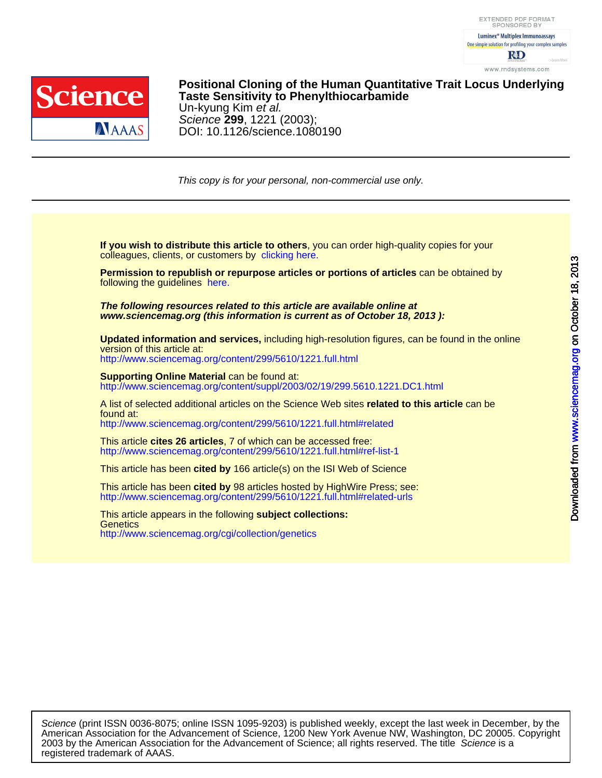



DOI: 10.1126/science.1080190 Science **299**, 1221 (2003); Un-kyung Kim et al. **Taste Sensitivity to Phenylthiocarbamide Positional Cloning of the Human Quantitative Trait Locus Underlying**

This copy is for your personal, non-commercial use only.

colleagues, clients, or customers by [clicking here.](http://www.sciencemag.org/about/permissions.dtl) **If you wish to distribute this article to others**, you can order high-quality copies for your

following the guidelines [here.](http://www.sciencemag.org/about/permissions.dtl) **Permission to republish or repurpose articles or portions of articles** can be obtained by

**www.sciencemag.org (this information is current as of October 18, 2013 ): The following resources related to this article are available online at**

version of this article at: **Updated information and services,** including high-resolution figures, can be found in the online

<http://www.sciencemag.org/content/299/5610/1221.full.html>

http://www.sciencemag.org/content/suppl/2003/02/19/299.5610.1221.DC1.html **Supporting Online Material** can be found at:

<http://www.sciencemag.org/content/299/5610/1221.full.html#related> found at: A list of selected additional articles on the Science Web sites **related to this article** can be

<http://www.sciencemag.org/content/299/5610/1221.full.html#ref-list-1> This article **cites 26 articles**, 7 of which can be accessed free:

This article has been **cited by** 166 article(s) on the ISI Web of Science

<http://www.sciencemag.org/content/299/5610/1221.full.html#related-urls> This article has been **cited by** 98 articles hosted by HighWire Press; see:

<http://www.sciencemag.org/cgi/collection/genetics> **Genetics** This article appears in the following **subject collections:**

registered trademark of AAAS. 2003 by the American Association for the Advancement of Science; all rights reserved. The title Science is a American Association for the Advancement of Science, 1200 New York Avenue NW, Washington, DC 20005. Copyright Science (print ISSN 0036-8075; online ISSN 1095-9203) is published weekly, except the last week in December, by the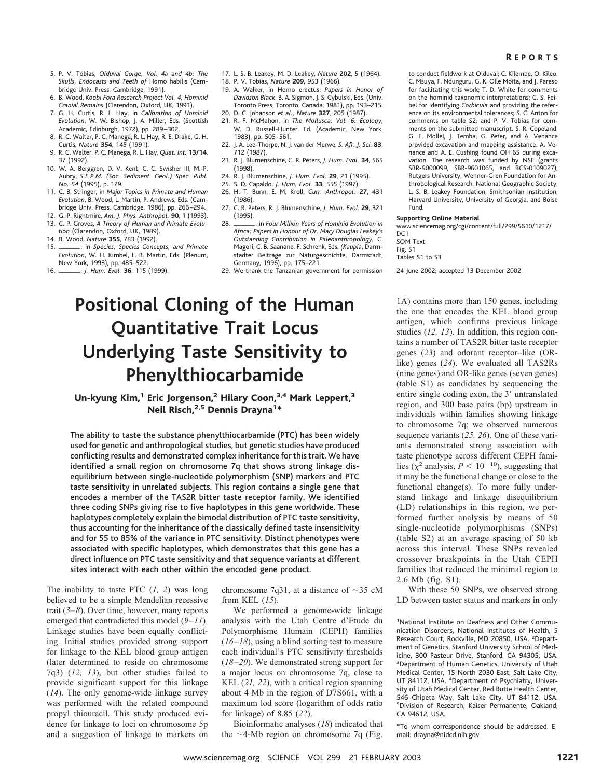## R EPORTS

- 5. P. V. Tobias, *Olduvai Gorge, Vol. 4a and 4b: The Skulls, Endocasts and Teeth of* Homo habilis (Cambridge Univ. Press, Cambridge, 1991).
- 6. B. Wood, *Koobi Fora Research Project Vol. 4, Hominid Cranial Remains* (Clarendon, Oxford, UK, 1991).
- 7. G. H. Curtis, R. L. Hay, in *Calibration of Hominid Evolution*, W. W. Bishop, J. A. Miller, Eds. (Scottish Academic, Edinburgh, 1972), pp. 289 –302.
- 8. R. C. Walter, P. C. Manega, R. L. Hay, R. E. Drake, G. H. Curtis, *Nature* **354**, 145 (1991).
- 9. R. C. Walter, P. C. Manega, R. L. Hay, *Quat. Int.* **13/14**, 37 (1992).
- 10. W. A. Berggren, D. V. Kent, C. C. Swisher III, M.-P. Aubry, *S.E.P.M. (Soc. Sediment. Geol.) Spec. Publ. No. 54* (1995), p. 129.
- 11. C. B. Stringer, in *Major Topics in Primate and Human Evolution*, B. Wood, L. Martin, P. Andrews, Eds. (Cambridge Univ. Press, Cambridge, 1986), pp. 266 –294.
- 12. G. P. Rightmire, *Am. J. Phys. Anthropol.* **90**, 1 (1993). 13. C. P. Groves, *A Theory of Human and Primate Evolu-*
- *tion* (Clarendon, Oxford, UK, 1989).
- 14. B. Wood, *Nature* **355**, 783 (1992).
- 15. , in *Species, Species Concepts, and Primate Evolution*, W. H. Kimbel, L. B. Martin, Eds. (Plenum, New York, 1993), pp. 485–522.
- 16. , *J. Hum. Evol.* **<sup>36</sup>**, 115 (1999).
- 17. L. S. B. Leakey, M. D. Leakey, *Nature* **202**, 5 (1964).
- 18. P. V. Tobias, *Nature* **209**, 953 (1966).
- 19. A. Walker, in Homo erectus: *Papers in Honor of Davidson Black*, B. A. Sigmon, J. S. Cybulski, Eds. (Univ. Toronto Press, Toronto, Canada, 1981), pp. 193–215.
- 20. D. C. Johanson *et al., Nature* **327**, 205 (1987).
- 21. R. F. McMahon, in *The Mollusca: Vol. 6: Ecology*, W. D. Russell-Hunter, Ed. (Academic, New York, 1983), pp. 505–561.
- 22. J. A. Lee-Thorpe, N. J. van der Merwe, *S. Afr. J. Sci.* **83**, 712 (1987).
- 23. R. J. Blumenschine, C. R. Peters, *J. Hum. Evol.* **34**, 565 (1998).
- 24. R. J. Blumenschine, *J. Hum. Evol.* **29**, 21 (1995).
- 25. S. D. Capaldo, *J. Hum. Evol.* **33**, 555 (1997).
- 26. H. T. Bunn, E. M. Kroll, *Curr. Anthropol.* **27**, 431 (1986).
- 27. C. R. Peters, R. J. Blumenschine, *J. Hum. Evol*. **29**, 321 (1995).
- 28.  $\frac{1}{\sqrt{2\pi}}$ , in *Four Million Years of Hominid Evolution in Africa: Papers in Honour of Dr. Mary Douglas Leakey's Outstanding Contribution in Paleoanthropology*, C. Magori, C. B. Saanane, F. Schrenk, Eds. *(Kaupia*, Darmstadter Beitrage zur Naturgeschichte, Darmstadt, Germany, 1996), pp. 175–221.
- 29. We thank the Tanzanian government for permission

# **Positional Cloning of the Human Quantitative Trait Locus Underlying Taste Sensitivity to Phenylthiocarbamide**

# Un-kyung Kim,<sup>1</sup> Eric Jorgenson,<sup>2</sup> Hilary Coon,<sup>3,4</sup> Mark Leppert,<sup>3</sup> Neil Risch,<sup>2,5</sup> Dennis Drayna<sup>1</sup>\*

The ability to taste the substance phenylthiocarbamide (PTC) has been widely used for genetic and anthropological studies, but genetic studies have produced conflicting results and demonstrated complex inheritance for this trait. We have identified a small region on chromosome 7q that shows strong linkage disequilibrium between single-nucleotide polymorphism (SNP) markers and PTC taste sensitivity in unrelated subjects. This region contains a single gene that encodes a member of the TAS2R bitter taste receptor family. We identified three coding SNPs giving rise to five haplotypes in this gene worldwide. These haplotypes completely explain the bimodal distribution of PTC taste sensitivity, thus accounting for the inheritance of the classically defined taste insensitivity and for 55 to 85% of the variance in PTC sensitivity. Distinct phenotypes were associated with specific haplotypes, which demonstrates that this gene has a direct influence on PTC taste sensitivity and that sequence variants at different sites interact with each other within the encoded gene product.

The inability to taste PTC (*1, 2*) was long believed to be a simple Mendelian recessive trait (*3–8*). Over time, however, many reports emerged that contradicted this model (*9–11*). Linkage studies have been equally conflicting. Initial studies provided strong support for linkage to the KEL blood group antigen (later determined to reside on chromosome 7q3) (*12, 13*), but other studies failed to provide significant support for this linkage (*14*). The only genome-wide linkage survey was performed with the related compound propyl thiouracil. This study produced evidence for linkage to loci on chromosome 5p and a suggestion of linkage to markers on

chromosome 7q31, at a distance of  $\sim$ 35 cM from KEL (*15*).

We performed a genome-wide linkage analysis with the Utah Centre d'Etude du Polymorphisme Humain (CEPH) families (*16–18*), using a blind sorting test to measure each individual's PTC sensitivity thresholds (*18–20*). We demonstrated strong support for a major locus on chromosome 7q, close to KEL (*21, 22*), with a critical region spanning about 4 Mb in the region of D7S661, with a maximum lod score (logarithm of odds ratio for linkage) of 8.85 (*22*).

Bioinformatic analyses (*18*) indicated that the  $\sim$ 4-Mb region on chromosome 7q (Fig. to conduct fieldwork at Olduvai; C. Kilembe, O. Kileo, C. Msuya, F. Ndunguru, G. K. Olle Moita, and J. Pareso for facilitating this work; T. D. White for comments on the hominid taxonomic interpretations; C. S. Feibel for identifying *Corbicula* and providing the reference on its environmental tolerances; S. C. Anton for comments on table S2; and P. V. Tobias for comments on the submitted manuscript. S. R. Copeland, G. F. Mollel, J. Temba, G. Peter, and A. Venance provided excavation and mapping assistance. A. Venance and A. E. Cushing found OH 65 during excavation. The research was funded by NSF (grants SBR-9000099, SBR-9601065, and BCS-0109027), Rutgers University, Wenner-Gren Foundation for Anthropological Research, National Geographic Society, L. S. B. Leakey Foundation, Smithsonian Institution, Harvard University, University of Georgia, and Boise Fund.

#### **Supporting Online Material**

www.sciencemag.org/cgi/content/full/299/5610/1217/ DC<sub>1</sub>

SOM Text Fig. S1 Tables S1 to S3

24 June 2002; accepted 13 December 2002

1A) contains more than 150 genes, including the one that encodes the KEL blood group antigen, which confirms previous linkage studies (*12, 13*). In addition, this region contains a number of TAS2R bitter taste receptor genes (*23*) and odorant receptor–like (ORlike) genes (*24*). We evaluated all TAS2Rs (nine genes) and OR-like genes (seven genes) (table S1) as candidates by sequencing the entire single coding exon, the 3' untranslated region, and 300 base pairs (bp) upstream in individuals within families showing linkage to chromosome 7q; we observed numerous sequence variants (*25, 26*). One of these variants demonstrated strong association with taste phenotype across different CEPH families ( $\chi^2$  analysis,  $P < 10^{-10}$ ), suggesting that it may be the functional change or close to the functional change(s). To more fully understand linkage and linkage disequilibrium (LD) relationships in this region, we performed further analysis by means of 50 single-nucleotide polymorphisms (SNPs) (table S2) at an average spacing of 50 kb across this interval. These SNPs revealed crossover breakpoints in the Utah CEPH families that reduced the minimal region to 2.6 Mb (fig. S1).

With these 50 SNPs, we observed strong LD between taster status and markers in only

\*To whom correspondence should be addressed. Email: drayna@nidcd.nih.gov

<sup>1</sup> National Institute on Deafness and Other Communication Disorders, National Institutes of Health, 5 Research Court, Rockville, MD 20850, USA. <sup>2</sup>Department of Genetics, Stanford University School of Medicine, 300 Pasteur Drive, Stanford, CA 94305, USA. <sup>3</sup>Department of Human Genetics, University of Utah Medical Center, 15 North 2030 East, Salt Lake City, UT 84112, USA. <sup>4</sup>Department of Psychiatry, University of Utah Medical Center, Red Butte Health Center, 546 Chipeta Way, Salt Lake City, UT 84112, USA. 5 Division of Research, Kaiser Permanente, Oakland, CA 94612, USA.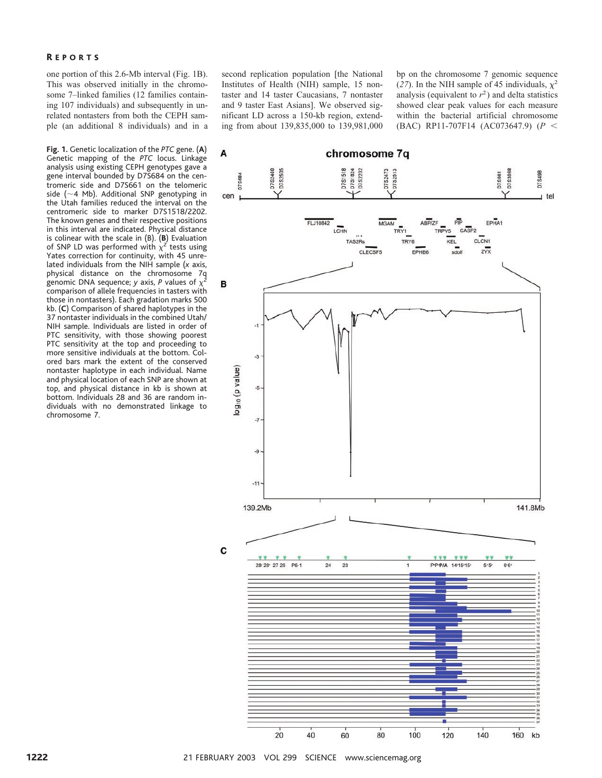one portion of this 2.6-Mb interval (Fig. 1B). This was observed initially in the chromosome 7–linked families (12 families containing 107 individuals) and subsequently in unrelated nontasters from both the CEPH sample (an additional 8 individuals) and in a

**Fig. 1.** Genetic localization of the *PTC* gene. (**A**) Genetic mapping of the *PTC* locus. Linkage analysis using existing CEPH genotypes gave a gene interval bounded by D7S684 on the centromeric side and D7S661 on the telomeric side ( $\sim$ 4 Mb). Additional SNP genotyping in the Utah families reduced the interval on the centromeric side to marker D7S1518/2202. The known genes and their respective positions in this interval are indicated. Physical distance is colinear with the scale in (B). (**B**) Evaluation of SNP LD was performed with  $\chi^2$  tests using Yates correction for continuity, with 45 unrelated individuals from the NIH sample (*x* axis, physical distance on the chromosome 7q genomic DNA sequence; *y* axis, *P* values of  $\chi^2$ comparison of allele frequencies in tasters with those in nontasters). Each gradation marks 500 kb. (**C**) Comparison of shared haplotypes in the 37 nontaster individuals in the combined Utah/ NIH sample. Individuals are listed in order of PTC sensitivity, with those showing poorest PTC sensitivity at the top and proceeding to more sensitive individuals at the bottom. Colored bars mark the extent of the conserved nontaster haplotype in each individual. Name and physical location of each SNP are shown at top, and physical distance in kb is shown at bottom. Individuals 28 and 36 are random individuals with no demonstrated linkage to chromosome 7.

second replication population [the National Institutes of Health (NIH) sample, 15 nontaster and 14 taster Caucasians, 7 nontaster and 9 taster East Asians]. We observed significant LD across a 150-kb region, extending from about 139,835,000 to 139,981,000 bp on the chromosome 7 genomic sequence (27). In the NIH sample of 45 individuals,  $\chi^2$ analysis (equivalent to  $r^2$ ) and delta statistics showed clear peak values for each measure within the bacterial artificial chromosome (BAC) RP11-707F14 (AC073647.9) (*P*

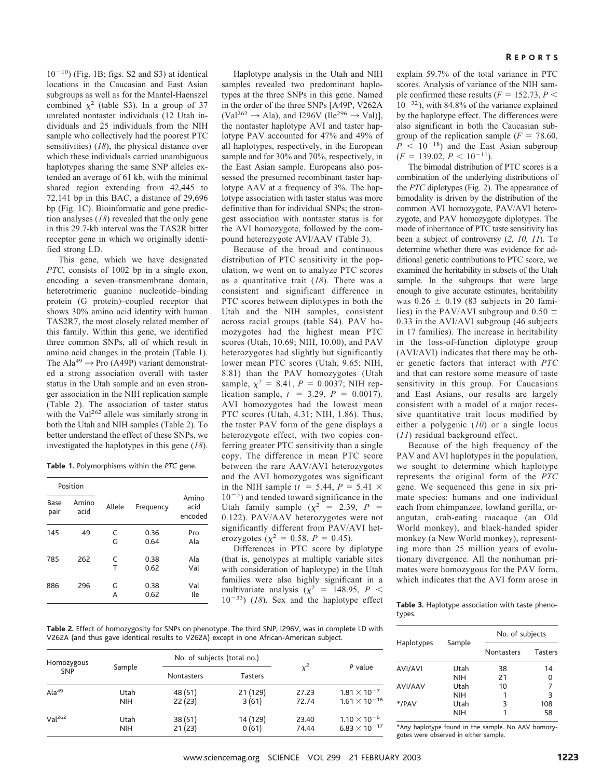$10^{-10}$ ) (Fig. 1B; figs. S2 and S3) at identical locations in the Caucasian and East Asian subgroups as well as for the Mantel-Haenszel combined  $\chi^2$  (table S3). In a group of 37 unrelated nontaster individuals (12 Utah individuals and 25 individuals from the NIH sample who collectively had the poorest PTC sensitivities) (*18*), the physical distance over which these individuals carried unambiguous haplotypes sharing the same SNP alleles extended an average of 61 kb, with the minimal shared region extending from 42,445 to 72,141 bp in this BAC, a distance of 29,696 bp (Fig. 1C). Bioinformatic and gene prediction analyses (*18*) revealed that the only gene in this 29.7-kb interval was the TAS2R bitter receptor gene in which we originally identified strong LD.

This gene, which we have designated *PTC*, consists of 1002 bp in a single exon, encoding a seven–transmembrane domain, heterotrimeric guanine nucleotide–binding protein (G protein)–coupled receptor that shows 30% amino acid identity with human TAS2R7, the most closely related member of this family. Within this gene, we identified three common SNPs, all of which result in amino acid changes in the protein (Table 1). The Ala<sup>49</sup>  $\rightarrow$  Pro (A49P) variant demonstrated a strong association overall with taster status in the Utah sample and an even stronger association in the NIH replication sample (Table 2). The association of taster status with the Val<sup>262</sup> allele was similarly strong in both the Utah and NIH samples (Table 2). To better understand the effect of these SNPs, we investigated the haplotypes in this gene (*18*).

**Table 1.** Polymorphisms within the *PTC* gene.

| Position     |               |        |              |                          |
|--------------|---------------|--------|--------------|--------------------------|
| Base<br>pair | Amino<br>acid | Allele | Frequency    | Amino<br>acid<br>encoded |
| 145          | 49            | C<br>G | 0.36<br>0.64 | Pro<br>Ala               |
| 785          | 262           | C<br>т | 0.38<br>0.62 | Ala<br>Val               |
| 886          | 296           | G<br>А | 0.38<br>0.62 | Val<br>Ile               |

Haplotype analysis in the Utah and NIH samples revealed two predominant haplotypes at the three SNPs in this gene. Named in the order of the three SNPs [A49P, V262A  $(Val^{262} \rightarrow Ala)$ , and I296V (Ile<sup>296</sup>  $\rightarrow$  Val)], the nontaster haplotype AVI and taster haplotype PAV accounted for 47% and 49% of all haplotypes, respectively, in the European sample and for 30% and 70%, respectively, in the East Asian sample. Europeans also possessed the presumed recombinant taster haplotype AAV at a frequency of 3%. The haplotype association with taster status was more definitive than for individual SNPs; the strongest association with nontaster status is for the AVI homozygote, followed by the compound heterozygote AVI/AAV (Table 3).

Because of the broad and continuous distribution of PTC sensitivity in the population, we went on to analyze PTC scores as a quantitative trait (*18*). There was a consistent and significant difference in PTC scores between diplotypes in both the Utah and the NIH samples, consistent across racial groups (table S4). PAV homozygotes had the highest mean PTC scores (Utah, 10.69; NIH, 10.00), and PAV heterozygotes had slightly but significantly lower mean PTC scores (Utah, 9.65; NIH, 8.81) than the PAV homozygotes (Utah sample,  $\chi^2 = 8.41$ ,  $P = 0.0037$ ; NIH replication sample,  $t = 3.29$ ,  $P = 0.0017$ . AVI homozygotes had the lowest mean PTC scores (Utah, 4.31; NIH, 1.86). Thus, the taster PAV form of the gene displays a heterozygote effect, with two copies conferring greater PTC sensitivity than a single copy. The difference in mean PTC score between the rare AAV/AVI heterozygotes and the AVI homozygotes was significant in the NIH sample ( $t = 5.44$ ,  $P = 5.41 \times$  $10^{-5}$ ) and tended toward significance in the Utah family sample  $(\chi^2 = 2.39, P =$ 0.122). PAV/AAV heterozygotes were not significantly different from PAV/AVI heterozygotes ( $\chi^2 = 0.58$ ,  $P = 0.45$ ).

Differences in PTC score by diplotype (that is, genotypes at multiple variable sites with consideration of haplotype) in the Utah families were also highly significant in a multivariate analysis  $(\chi^2$  = 148.95, *P* <  $10^{-33}$ ) (*18*). Sex and the haplotype effect explain 59.7% of the total variance in PTC scores. Analysis of variance of the NIH sample confirmed these results  $(F = 152.73, P <$  $10^{-32}$ ), with 84.8% of the variance explained by the haplotype effect. The differences were also significant in both the Caucasian subgroup of the replication sample ( $F = 78.60$ ,  $P$  < 10<sup>-18</sup>) and the East Asian subgroup  $(F = 139.02, P < 10^{-11}).$ 

The bimodal distribution of PTC scores is a combination of the underlying distributions of the *PTC* diplotypes (Fig. 2). The appearance of bimodality is driven by the distribution of the common AVI homozygote, PAV/AVI heterozygote, and PAV homozygote diplotypes. The mode of inheritance of PTC taste sensitivity has been a subject of controversy (*2, 10, 11*). To determine whether there was evidence for additional genetic contributions to PTC score, we examined the heritability in subsets of the Utah sample. In the subgroups that were large enough to give accurate estimates, heritability was  $0.26 \pm 0.19$  (83 subjects in 20 families) in the PAV/AVI subgroup and 0.50  $\pm$ 0.33 in the AVI/AVI subgroup (46 subjects in 17 families). The increase in heritability in the loss-of-function diplotype group (AVI/AVI) indicates that there may be other genetic factors that interact with *PTC* and that can restore some measure of taste sensitivity in this group. For Caucasians and East Asians, our results are largely consistent with a model of a major recessive quantitative trait locus modified by either a polygenic (*10*) or a single locus (*11*) residual background effect.

Because of the high frequency of the PAV and AVI haplotypes in the population, we sought to determine which haplotype represents the original form of the *PTC* gene. We sequenced this gene in six primate species: humans and one individual each from chimpanzee, lowland gorilla, orangutan, crab-eating macaque (an Old World monkey), and black-handed spider monkey (a New World monkey), representing more than 25 million years of evolutionary divergence. All the nonhuman primates were homozygous for the PAV form, which indicates that the AVI form arose in

**Table 3.** Haplotype association with taste phenotypes.

**Table 2.** Effect of homozygosity for SNPs on phenotype. The third SNP, I296V, was in complete LD with V262A (and thus gave identical results to V262A) except in one African-American subject.

| Homozygous<br><b>SNP</b> | Sample     | No. of subjects (total no.) |          |       |                        |
|--------------------------|------------|-----------------------------|----------|-------|------------------------|
|                          |            | <b>Nontasters</b>           | Tasters  | $x^2$ | P value                |
| Ala <sup>49</sup>        | Utah       | 48 (51)                     | 21 (129) | 27.23 | $1.81 \times 10^{-7}$  |
|                          | <b>NIH</b> | 22(23)                      | 3(61)    | 72.74 | $1.61 \times 10^{-16}$ |
| Val <sup>262</sup>       | Utah       | 38 (51)                     | 14 (129) | 23.40 | $1.10 \times 10^{-6}$  |
|                          | <b>NIH</b> | 21(23)                      | 0(61)    | 74.44 | $6.83 \times 10^{-17}$ |

|                |            | No. of subjects   |                |
|----------------|------------|-------------------|----------------|
| Haplotypes     | Sample     | <b>Nontasters</b> | <b>Tasters</b> |
| <b>AVI/AVI</b> | Utah       | 38                | 14             |
|                | NIH        | 21                | 0              |
| AVI/AAV        | Utah       | 10                |                |
|                | NIH        | 1                 | 3              |
| */PAV          | Utah       | 3                 | 108            |
|                | <b>NIH</b> | 1                 | 58             |

\*Any haplotype found in the sample. No AAV homozygotes were observed in either sample.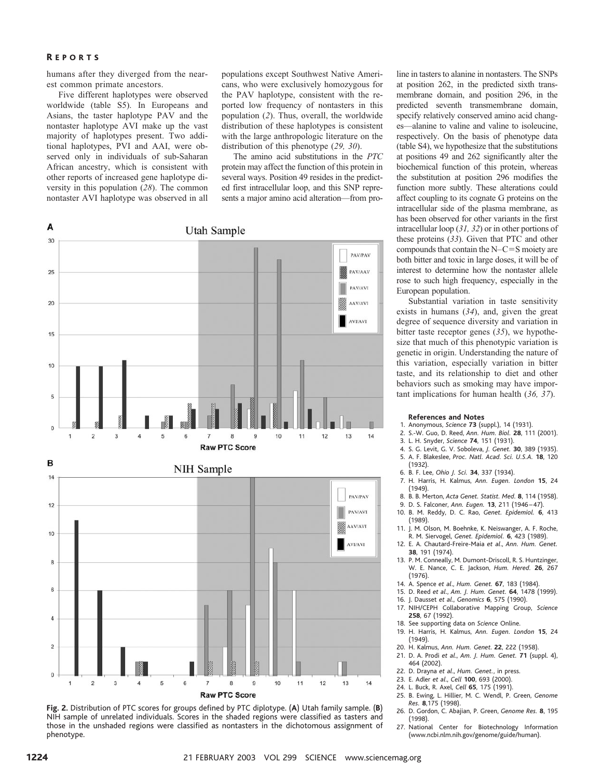## R EPORTS

humans after they diverged from the nearest common primate ancestors.

Five different haplotypes were observed worldwide (table S5). In Europeans and Asians, the taster haplotype PAV and the nontaster haplotype AVI make up the vast majority of haplotypes present. Two additional haplotypes, PVI and AAI, were observed only in individuals of sub-Saharan African ancestry, which is consistent with other reports of increased gene haplotype diversity in this population (*28*). The common nontaster AVI haplotype was observed in all populations except Southwest Native Americans, who were exclusively homozygous for the PAV haplotype, consistent with the reported low frequency of nontasters in this population (*2*). Thus, overall, the worldwide distribution of these haplotypes is consistent with the large anthropologic literature on the distribution of this phenotype (*29, 30*).

The amino acid substitutions in the *PTC* protein may affect the function of this protein in several ways. Position 49 resides in the predicted first intracellular loop, and this SNP represents a major amino acid alteration—from pro-





line in tasters to alanine in nontasters. The SNPs at position 262, in the predicted sixth transmembrane domain, and position 296, in the predicted seventh transmembrane domain, specify relatively conserved amino acid changes—alanine to valine and valine to isoleucine, respectively. On the basis of phenotype data (table S4), we hypothesize that the substitutions at positions 49 and 262 significantly alter the biochemical function of this protein, whereas the substitution at position 296 modifies the function more subtly. These alterations could affect coupling to its cognate G proteins on the intracellular side of the plasma membrane, as has been observed for other variants in the first intracellular loop (*31, 32*) or in other portions of these proteins (*33*). Given that PTC and other compounds that contain the  $N-C=S$  moiety are both bitter and toxic in large doses, it will be of interest to determine how the nontaster allele rose to such high frequency, especially in the European population.

Substantial variation in taste sensitivity exists in humans (*34*), and, given the great degree of sequence diversity and variation in bitter taste receptor genes (*35*), we hypothesize that much of this phenotypic variation is genetic in origin. Understanding the nature of this variation, especially variation in bitter taste, and its relationship to diet and other behaviors such as smoking may have important implications for human health (*36, 37*).

### **References and Notes**

- 1. Anonymous, *Science* **73** (suppl.), 14 (1931).
- 2. S.-W. Guo, D. Reed, *Ann. Hum. Biol.* **28**, 111 (2001).
- 3. L. H. Snyder, *Science* **74**, 151 (1931).
- 4. S. G. Levit, G. V. Soboleva, *J. Genet.* **30**, 389 (1935). 5. A. F. Blakeslee, *Proc. Natl. Acad. Sci. U.S.A.* **18**, 120 (1932).
- 6. B. F. Lee, *Ohio J. Sci.* **34**, 337 (1934).
- 7. H. Harris, H. Kalmus, *Ann. Eugen. London* **15**, 24 (1949).
- 8. B. B. Merton, *Acta Genet. Statist. Med.* **8**, 114 (1958).
- 9. D. S. Falconer, *Ann. Eugen.* **13**, 211 (1946 47).
- 10. B. M. Reddy, D. C. Rao, *Genet. Epidemiol.* **6**, 413 (1989).
- 11. J. M. Olson, M. Boehnke, K. Neiswanger, A. F. Roche, R. M. Siervogel, *Genet. Epidemiol.* **6**, 423 (1989).
- 12. E. A. Chautard-Freire-Maia *et al*., *Ann. Hum. Genet.* **38**, 191 (1974).
- 13. P. M. Conneally, M. Dumont-Driscoll, R. S. Huntzinger, W. E. Nance, C. E. Jackson, *Hum. Hered.* **26**, 267 (1976).
- 14. A. Spence *et al*., *Hum. Genet.* **67**, 183 (1984).
- 15. D. Reed *et al*., *Am. J. Hum. Genet.* **64**, 1478 (1999).
- 16. J. Dausset *et al*., *Genomics* **6**, 575 (1990).
- 17. NIH/CEPH Collaborative Mapping Group, *Science* **258**, 67 (1992).
- 18. See supporting data on *Science* Online.
- 19. H. Harris, H. Kalmus, *Ann. Eugen. London* **15**, 24 (1949).
- 20. H. Kalmus, *Ann. Hum. Genet*. **22**, 222 (1958).
- 21. D. A. Prodi *et al*., *Am. J. Hum. Genet.* **71** (suppl. 4), 464 (2002).
- 22. D. Drayna *et al*., *Hum. Genet.*, in press.
- 23. E. Adler *et al*., *Cell* **100**, 693 (2000).
- 24. L. Buck, R. Axel, *Cell* **65**, 175 (1991).
- 25. B. Ewing, L. Hillier, M. C. Wendl, P. Green, *Genome Res.* **8**,175 (1998).
- 26. D. Gordon, C. Abajian, P. Green, *Genome Res.* **8**, 195 (1998).
- 27. National Center for Biotechnology Information (www.ncbi.nlm.nih.gov/genome/guide/human).